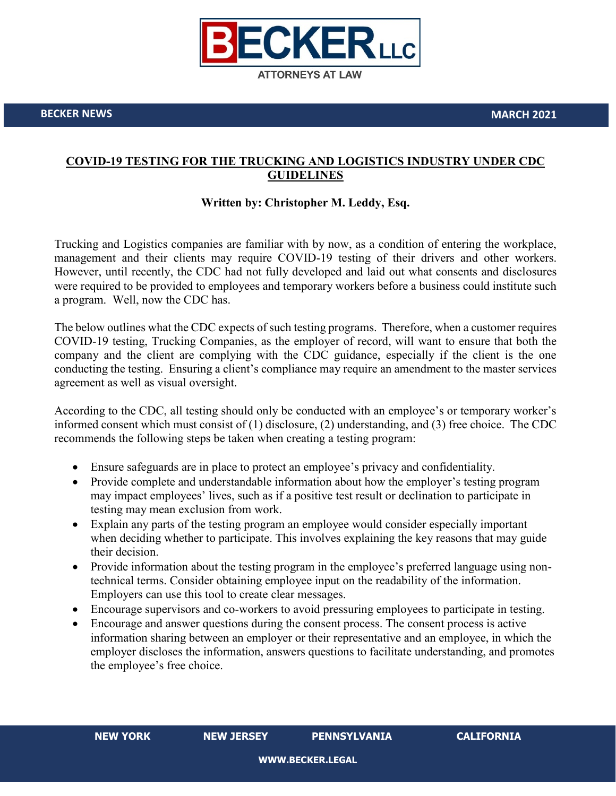

**BECKER NEWS MARCH 2021**

## **COVID-19 TESTING FOR THE TRUCKING AND LOGISTICS INDUSTRY UNDER CDC GUIDELINES**

## **Written by: Christopher M. Leddy, Esq.**

Trucking and Logistics companies are familiar with by now, as a condition of entering the workplace, management and their clients may require COVID-19 testing of their drivers and other workers. However, until recently, the CDC had not fully developed and laid out what consents and disclosures were required to be provided to employees and temporary workers before a business could institute such a program. Well, now the CDC has.

The below outlines what the CDC expects of such testing programs. Therefore, when a customer requires COVID-19 testing, Trucking Companies, as the employer of record, will want to ensure that both the company and the client are complying with the CDC guidance, especially if the client is the one conducting the testing. Ensuring a client's compliance may require an amendment to the master services agreement as well as visual oversight.

According to the CDC, all testing should only be conducted with an employee's or temporary worker's informed consent which must consist of (1) disclosure, (2) understanding, and (3) free choice. The CDC recommends the following steps be taken when creating a testing program:

- Ensure safeguards are in place to protect an employee's privacy and confidentiality.
- Provide complete and understandable information about how the employer's testing program may impact employees' lives, such as if a positive test result or declination to participate in testing may mean exclusion from work.
- Explain any parts of the testing program an employee would consider especially important when deciding whether to participate. This involves explaining the key reasons that may guide their decision.
- Provide information about the testing program in the employee's preferred language using nontechnical terms. Consider obtaining employee input on the readability of the information. Employers can use this tool to create clear messages.
- Encourage supervisors and co-workers to avoid pressuring employees to participate in testing.
- Encourage and answer questions during the consent process. The consent process is active information sharing between an employer or their representative and an employee, in which the employer discloses the information, answers questions to facilitate understanding, and promotes the employee's free choice.

**NEW YORK NEW JERSEY PENNSYLVANIA CALIFORNIA**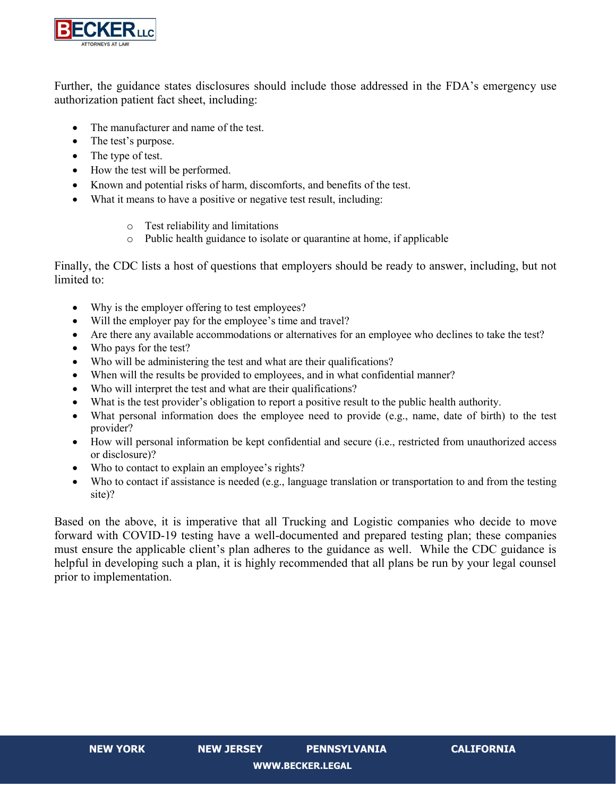

Further, the guidance states disclosures should include those addressed in the FDA's emergency use authorization patient fact sheet, including:

- The manufacturer and name of the test.
- The test's purpose.
- The type of test.
- How the test will be performed.
- Known and potential risks of harm, discomforts, and benefits of the test.
- What it means to have a positive or negative test result, including:
	- o Test reliability and limitations
	- o Public health guidance to isolate or quarantine at home, if applicable

Finally, the CDC lists a host of questions that employers should be ready to answer, including, but not limited to:

- Why is the employer offering to test employees?
- Will the employer pay for the employee's time and travel?
- Are there any available accommodations or alternatives for an employee who declines to take the test?
- Who pays for the test?
- Who will be administering the test and what are their qualifications?
- When will the results be provided to employees, and in what confidential manner?
- Who will interpret the test and what are their qualifications?
- What is the test provider's obligation to report a positive result to the public health authority.
- What personal information does the employee need to provide (e.g., name, date of birth) to the test provider?
- How will personal information be kept confidential and secure (i.e., restricted from unauthorized access or disclosure)?
- Who to contact to explain an employee's rights?
- Who to contact if assistance is needed (e.g., language translation or transportation to and from the testing site)?

Based on the above, it is imperative that all Trucking and Logistic companies who decide to move forward with COVID-19 testing have a well-documented and prepared testing plan; these companies must ensure the applicable client's plan adheres to the guidance as well. While the CDC guidance is helpful in developing such a plan, it is highly recommended that all plans be run by your legal counsel prior to implementation.